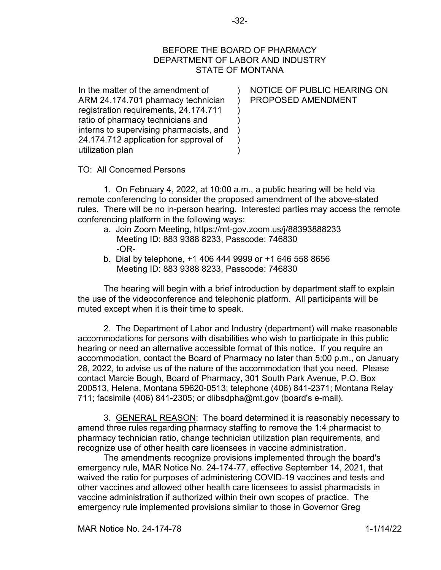## BEFORE THE BOARD OF PHARMACY DEPARTMENT OF LABOR AND INDUSTRY STATE OF MONTANA

) ) ) ) ) ) )

In the matter of the amendment of ARM 24.174.701 pharmacy technician registration requirements, 24.174.711 ratio of pharmacy technicians and interns to supervising pharmacists, and 24.174.712 application for approval of utilization plan

NOTICE OF PUBLIC HEARING ON PROPOSED AMENDMENT

TO: All Concerned Persons

1. On February 4, 2022, at 10:00 a.m., a public hearing will be held via remote conferencing to consider the proposed amendment of the above-stated rules. There will be no in-person hearing. Interested parties may access the remote conferencing platform in the following ways:

- a. Join Zoom Meeting, https://mt-gov.zoom.us/j/88393888233 Meeting ID: 883 9388 8233, Passcode: 746830 -OR-
- b. Dial by telephone, +1 406 444 9999 or +1 646 558 8656 Meeting ID: 883 9388 8233, Passcode: 746830

The hearing will begin with a brief introduction by department staff to explain the use of the videoconference and telephonic platform. All participants will be muted except when it is their time to speak.

2. The Department of Labor and Industry (department) will make reasonable accommodations for persons with disabilities who wish to participate in this public hearing or need an alternative accessible format of this notice. If you require an accommodation, contact the Board of Pharmacy no later than 5:00 p.m., on January 28, 2022, to advise us of the nature of the accommodation that you need. Please contact Marcie Bough, Board of Pharmacy, 301 South Park Avenue, P.O. Box 200513, Helena, Montana 59620-0513; telephone (406) 841-2371; Montana Relay 711; facsimile (406) 841-2305; or dlibsdpha@mt.gov (board's e-mail).

3. GENERAL REASON: The board determined it is reasonably necessary to amend three rules regarding pharmacy staffing to remove the 1:4 pharmacist to pharmacy technician ratio, change technician utilization plan requirements, and recognize use of other health care licensees in vaccine administration.

The amendments recognize provisions implemented through the board's emergency rule, MAR Notice No. 24-174-77, effective September 14, 2021, that waived the ratio for purposes of administering COVID-19 vaccines and tests and other vaccines and allowed other health care licensees to assist pharmacists in vaccine administration if authorized within their own scopes of practice. The emergency rule implemented provisions similar to those in Governor Greg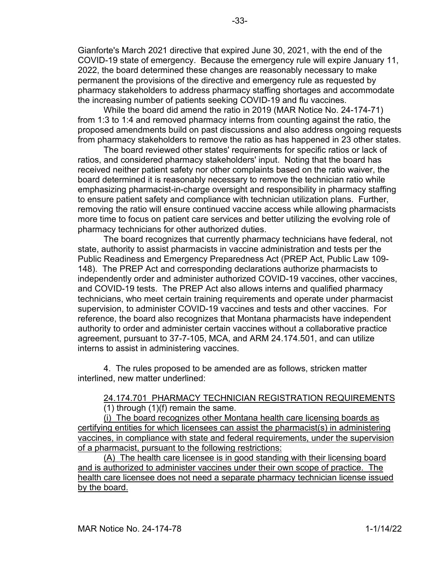Gianforte's March 2021 directive that expired June 30, 2021, with the end of the COVID-19 state of emergency. Because the emergency rule will expire January 11, 2022, the board determined these changes are reasonably necessary to make permanent the provisions of the directive and emergency rule as requested by pharmacy stakeholders to address pharmacy staffing shortages and accommodate the increasing number of patients seeking COVID-19 and flu vaccines.

While the board did amend the ratio in 2019 (MAR Notice No. 24-174-71) from 1:3 to 1:4 and removed pharmacy interns from counting against the ratio, the proposed amendments build on past discussions and also address ongoing requests from pharmacy stakeholders to remove the ratio as has happened in 23 other states.

The board reviewed other states' requirements for specific ratios or lack of ratios, and considered pharmacy stakeholders' input. Noting that the board has received neither patient safety nor other complaints based on the ratio waiver, the board determined it is reasonably necessary to remove the technician ratio while emphasizing pharmacist-in-charge oversight and responsibility in pharmacy staffing to ensure patient safety and compliance with technician utilization plans. Further, removing the ratio will ensure continued vaccine access while allowing pharmacists more time to focus on patient care services and better utilizing the evolving role of pharmacy technicians for other authorized duties.

The board recognizes that currently pharmacy technicians have federal, not state, authority to assist pharmacists in vaccine administration and tests per the Public Readiness and Emergency Preparedness Act (PREP Act, Public Law 109- 148). The PREP Act and corresponding declarations authorize pharmacists to independently order and administer authorized COVID-19 vaccines, other vaccines, and COVID-19 tests. The PREP Act also allows interns and qualified pharmacy technicians, who meet certain training requirements and operate under pharmacist supervision, to administer COVID-19 vaccines and tests and other vaccines. For reference, the board also recognizes that Montana pharmacists have independent authority to order and administer certain vaccines without a collaborative practice agreement, pursuant to 37-7-105, MCA, and ARM 24.174.501, and can utilize interns to assist in administering vaccines.

4. The rules proposed to be amended are as follows, stricken matter interlined, new matter underlined:

## 24.174.701 PHARMACY TECHNICIAN REGISTRATION REQUIREMENTS

(1) through (1)(f) remain the same.

(i) The board recognizes other Montana health care licensing boards as certifying entities for which licensees can assist the pharmacist(s) in administering vaccines, in compliance with state and federal requirements, under the supervision of a pharmacist, pursuant to the following restrictions:

(A) The health care licensee is in good standing with their licensing board and is authorized to administer vaccines under their own scope of practice. The health care licensee does not need a separate pharmacy technician license issued by the board.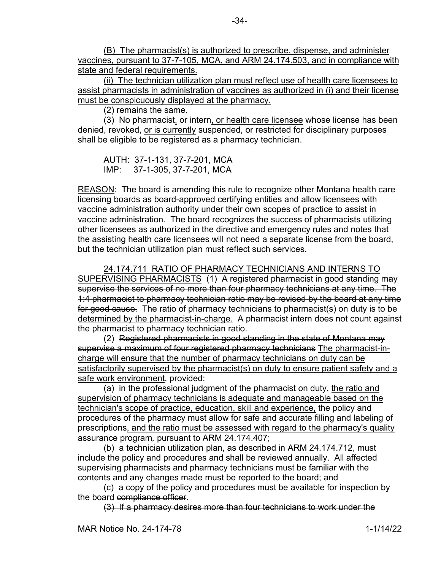(B) The pharmacist(s) is authorized to prescribe, dispense, and administer vaccines, pursuant to 37-7-105, MCA, and ARM 24.174.503, and in compliance with state and federal requirements.

(ii) The technician utilization plan must reflect use of health care licensees to assist pharmacists in administration of vaccines as authorized in (i) and their license must be conspicuously displayed at the pharmacy.

(2) remains the same.

(3) No pharmacist, or intern, or health care licensee whose license has been denied, revoked, or is currently suspended, or restricted for disciplinary purposes shall be eligible to be registered as a pharmacy technician.

AUTH: 37-1-131, 37-7-201, MCA IMP: 37-1-305, 37-7-201, MCA

REASON: The board is amending this rule to recognize other Montana health care licensing boards as board-approved certifying entities and allow licensees with vaccine administration authority under their own scopes of practice to assist in vaccine administration. The board recognizes the success of pharmacists utilizing other licensees as authorized in the directive and emergency rules and notes that the assisting health care licensees will not need a separate license from the board, but the technician utilization plan must reflect such services.

24.174.711 RATIO OF PHARMACY TECHNICIANS AND INTERNS TO SUPERVISING PHARMACISTS (1) A registered pharmacist in good standing may supervise the services of no more than four pharmacy technicians at any time. The 1:4 pharmacist to pharmacy technician ratio may be revised by the board at any time for good cause. The ratio of pharmacy technicians to pharmacist(s) on duty is to be determined by the pharmacist-in-charge. A pharmacist intern does not count against the pharmacist to pharmacy technician ratio.

(2) Registered pharmacists in good standing in the state of Montana may supervise a maximum of four registered pharmacy technicians The pharmacist-incharge will ensure that the number of pharmacy technicians on duty can be satisfactorily supervised by the pharmacist(s) on duty to ensure patient safety and a safe work environment, provided:

(a) in the professional judgment of the pharmacist on duty, the ratio and supervision of pharmacy technicians is adequate and manageable based on the technician's scope of practice, education, skill and experience, the policy and procedures of the pharmacy must allow for safe and accurate filling and labeling of prescriptions, and the ratio must be assessed with regard to the pharmacy's quality assurance program*,* pursuant to ARM 24.174.407;

(b) a technician utilization plan, as described in ARM 24.174.712, must include the policy and procedures and shall be reviewed annually. All affected supervising pharmacists and pharmacy technicians must be familiar with the contents and any changes made must be reported to the board; and

(c) a copy of the policy and procedures must be available for inspection by the board compliance officer.

(3) If a pharmacy desires more than four technicians to work under the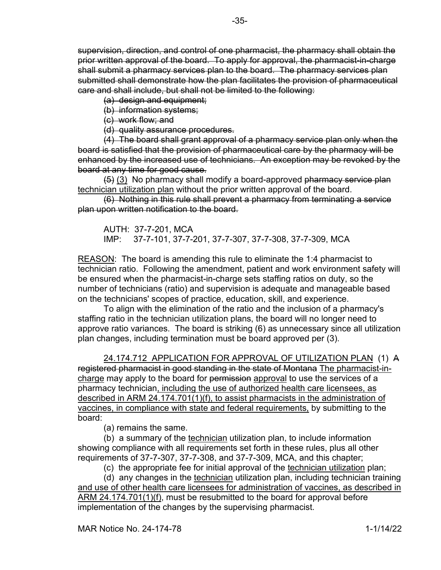supervision, direction, and control of one pharmacist, the pharmacy shall obtain the prior written approval of the board. To apply for approval, the pharmacist-in-charge shall submit a pharmacy services plan to the board. The pharmacy services plan submitted shall demonstrate how the plan facilitates the provision of pharmaceutical care and shall include, but shall not be limited to the following:

(a) design and equipment;

(b) information systems;

(c) work flow; and

(d) quality assurance procedures.

(4) The board shall grant approval of a pharmacy service plan only when the board is satisfied that the provision of pharmaceutical care by the pharmacy will be enhanced by the increased use of technicians. An exception may be revoked by the board at any time for good cause.

 $(5)$  (3) No pharmacy shall modify a board-approved pharmacy service plan technician utilization plan without the prior written approval of the board.

(6) Nothing in this rule shall prevent a pharmacy from terminating a service plan upon written notification to the board.

AUTH: 37-7-201, MCA IMP: 37-7-101, 37-7-201, 37-7-307, 37-7-308, 37-7-309, MCA

REASON: The board is amending this rule to eliminate the 1:4 pharmacist to technician ratio. Following the amendment, patient and work environment safety will be ensured when the pharmacist-in-charge sets staffing ratios on duty, so the number of technicians (ratio) and supervision is adequate and manageable based on the technicians' scopes of practice, education, skill, and experience.

To align with the elimination of the ratio and the inclusion of a pharmacy's staffing ratio in the technician utilization plans, the board will no longer need to approve ratio variances. The board is striking (6) as unnecessary since all utilization plan changes, including termination must be board approved per (3).

24.174.712 APPLICATION FOR APPROVAL OF UTILIZATION PLAN (1) A registered pharmacist in good standing in the state of Montana The pharmacist-incharge may apply to the board for permission approval to use the services of a pharmacy technician, including the use of authorized health care licensees, as described in ARM 24.174.701(1)(f), to assist pharmacists in the administration of vaccines, in compliance with state and federal requirements, by submitting to the

board:

(a) remains the same.

(b) a summary of the technician utilization plan, to include information showing compliance with all requirements set forth in these rules, plus all other requirements of 37-7-307, 37-7-308, and 37-7-309, MCA, and this chapter;

(c) the appropriate fee for initial approval of the technician utilization plan;

(d) any changes in the technician utilization plan, including technician training and use of other health care licensees for administration of vaccines, as described in ARM 24.174.701(1)(f), must be resubmitted to the board for approval before implementation of the changes by the supervising pharmacist.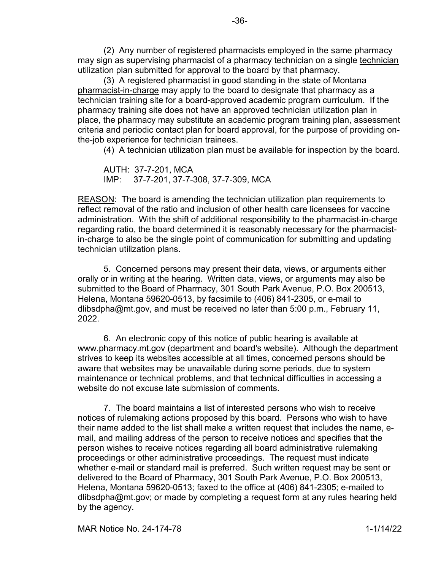(2) Any number of registered pharmacists employed in the same pharmacy may sign as supervising pharmacist of a pharmacy technician on a single technician utilization plan submitted for approval to the board by that pharmacy.

(3) A registered pharmacist in good standing in the state of Montana pharmacist-in-charge may apply to the board to designate that pharmacy as a technician training site for a board-approved academic program curriculum. If the pharmacy training site does not have an approved technician utilization plan in place, the pharmacy may substitute an academic program training plan, assessment criteria and periodic contact plan for board approval, for the purpose of providing onthe-job experience for technician trainees.

(4) A technician utilization plan must be available for inspection by the board.

AUTH: 37-7-201, MCA IMP: 37-7-201, 37-7-308, 37-7-309, MCA

REASON: The board is amending the technician utilization plan requirements to reflect removal of the ratio and inclusion of other health care licensees for vaccine administration. With the shift of additional responsibility to the pharmacist-in-charge regarding ratio, the board determined it is reasonably necessary for the pharmacistin-charge to also be the single point of communication for submitting and updating technician utilization plans.

5. Concerned persons may present their data, views, or arguments either orally or in writing at the hearing. Written data, views, or arguments may also be submitted to the Board of Pharmacy, 301 South Park Avenue, P.O. Box 200513, Helena, Montana 59620-0513, by facsimile to (406) 841-2305, or e-mail to dlibsdpha@mt.gov, and must be received no later than 5:00 p.m., February 11, 2022.

6. An electronic copy of this notice of public hearing is available at www.pharmacy.mt.gov (department and board's website). Although the department strives to keep its websites accessible at all times, concerned persons should be aware that websites may be unavailable during some periods, due to system maintenance or technical problems, and that technical difficulties in accessing a website do not excuse late submission of comments.

7. The board maintains a list of interested persons who wish to receive notices of rulemaking actions proposed by this board. Persons who wish to have their name added to the list shall make a written request that includes the name, email, and mailing address of the person to receive notices and specifies that the person wishes to receive notices regarding all board administrative rulemaking proceedings or other administrative proceedings. The request must indicate whether e-mail or standard mail is preferred. Such written request may be sent or delivered to the Board of Pharmacy, 301 South Park Avenue, P.O. Box 200513, Helena, Montana 59620-0513; faxed to the office at (406) 841-2305; e-mailed to dlibsdpha@mt.gov; or made by completing a request form at any rules hearing held by the agency.

MAR Notice No. 24-174-78 1-1/14/22